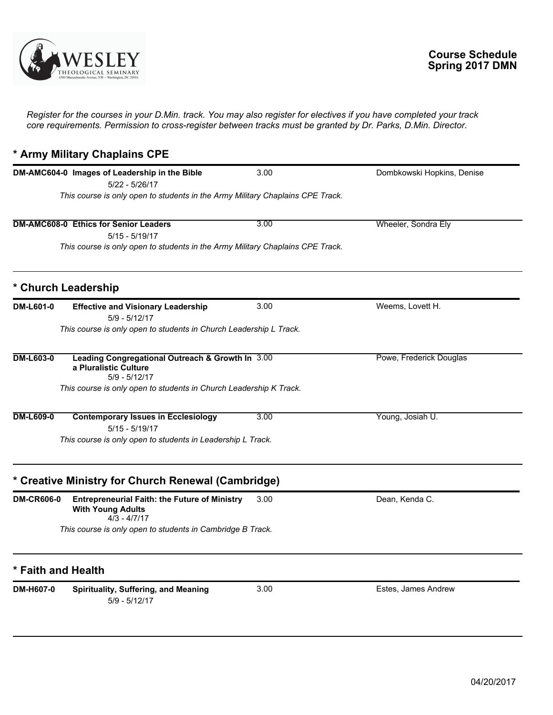

*Register for the courses in your D.Min. track. You may also register for electives if you have completed your track core requirements. Permission to cross-register between tracks must be granted by Dr. Parks, D.Min. Director.*

## **\* Army Military Chaplains CPE**

|                    | DM-AMC604-0 Images of Leadership in the Bible                                                      | 3.00 | Dombkowski Hopkins, Denise |
|--------------------|----------------------------------------------------------------------------------------------------|------|----------------------------|
|                    | 5/22 - 5/26/17                                                                                     |      |                            |
|                    | This course is only open to students in the Army Military Chaplains CPE Track.                     |      |                            |
|                    | <b>DM-AMC608-0 Ethics for Senior Leaders</b>                                                       | 3.00 | Wheeler, Sondra Ely        |
|                    | $5/15 - 5/19/17$                                                                                   |      |                            |
|                    | This course is only open to students in the Army Military Chaplains CPE Track.                     |      |                            |
|                    | * Church Leadership                                                                                |      |                            |
| <b>DM-L601-0</b>   | <b>Effective and Visionary Leadership</b><br>$5/9 - 5/12/17$                                       | 3.00 | Weems, Lovett H.           |
|                    | This course is only open to students in Church Leadership L Track.                                 |      |                            |
| <b>DM-L603-0</b>   | Leading Congregational Outreach & Growth In 3.00<br>a Pluralistic Culture<br>$5/9 - 5/12/17$       |      | Powe, Frederick Douglas    |
|                    | This course is only open to students in Church Leadership K Track.                                 |      |                            |
| <b>DM-L609-0</b>   | <b>Contemporary Issues in Ecclesiology</b><br>$5/15 - 5/19/17$                                     | 3.00 | Young, Josiah U.           |
|                    | This course is only open to students in Leadership L Track.                                        |      |                            |
|                    | * Creative Ministry for Church Renewal (Cambridge)                                                 |      |                            |
| <b>DM-CR606-0</b>  | <b>Entrepreneurial Faith: the Future of Ministry</b><br><b>With Young Adults</b><br>$4/3 - 4/7/17$ | 3.00 | Dean, Kenda C.             |
|                    | This course is only open to students in Cambridge B Track.                                         |      |                            |
| * Faith and Health |                                                                                                    |      |                            |
| DM-H607-0          | Spirituality, Suffering, and Meaning<br>$5/9 - 5/12/17$                                            | 3.00 | Estes, James Andrew        |
|                    |                                                                                                    |      |                            |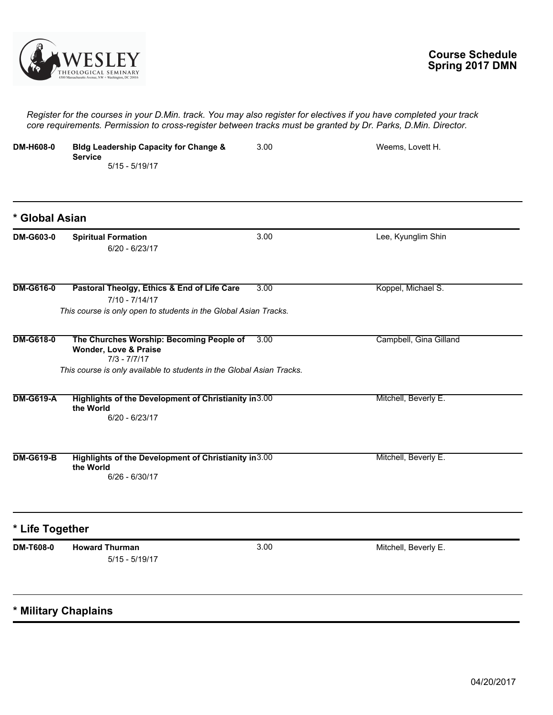

*Register for the courses in your D.Min. track. You may also register for electives if you have completed your track core requirements. Permission to cross-register between tracks must be granted by Dr. Parks, D.Min. Director.*

| <b>DM-H608-0</b> | <b>Bldg Leadership Capacity for Change &amp;</b><br><b>Service</b><br>$5/15 - 5/19/17$                                                                       | 3.00 | Weems, Lovett H.       |
|------------------|--------------------------------------------------------------------------------------------------------------------------------------------------------------|------|------------------------|
| * Global Asian   |                                                                                                                                                              |      |                        |
| <b>DM-G603-0</b> | <b>Spiritual Formation</b><br>$6/20 - 6/23/17$                                                                                                               | 3.00 | Lee, Kyunglim Shin     |
| <b>DM-G616-0</b> | Pastoral Theolgy, Ethics & End of Life Care<br>$7/10 - 7/14/17$<br>This course is only open to students in the Global Asian Tracks.                          | 3.00 | Koppel, Michael S.     |
| <b>DM-G618-0</b> | The Churches Worship: Becoming People of<br>Wonder, Love & Praise<br>$7/3 - 7/7/17$<br>This course is only available to students in the Global Asian Tracks. | 3.00 | Campbell, Gina Gilland |
| <b>DM-G619-A</b> | Highlights of the Development of Christianity in 3.00<br>the World<br>$6/20 - 6/23/17$                                                                       |      | Mitchell, Beverly E.   |
| <b>DM-G619-B</b> | Highlights of the Development of Christianity in 3.00<br>the World<br>$6/26 - 6/30/17$                                                                       |      | Mitchell, Beverly E.   |
| * Life Together  |                                                                                                                                                              |      |                        |
| DM-T608-0        | <b>Howard Thurman</b><br>$5/15 - 5/19/17$                                                                                                                    | 3.00 | Mitchell, Beverly E.   |
|                  | * Military Chaplains                                                                                                                                         |      |                        |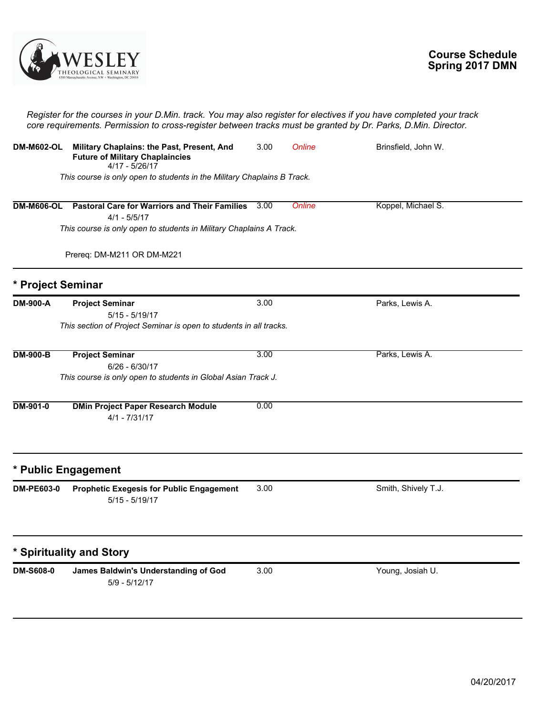

|                   | Register for the courses in your D.Min. track. You may also register for electives if you have completed your track<br>core requirements. Permission to cross-register between tracks must be granted by Dr. Parks, D.Min. Director. |      |        |                     |  |
|-------------------|--------------------------------------------------------------------------------------------------------------------------------------------------------------------------------------------------------------------------------------|------|--------|---------------------|--|
| <b>DM-M602-OL</b> | Military Chaplains: the Past, Present, And<br><b>Future of Military Chaplaincies</b><br>4/17 - 5/26/17                                                                                                                               | 3.00 | Online | Brinsfield, John W. |  |
|                   | This course is only open to students in the Military Chaplains B Track.                                                                                                                                                              |      |        |                     |  |
| <b>DM-M606-OL</b> | <b>Pastoral Care for Warriors and Their Families</b><br>$4/1 - 5/5/17$<br>This course is only open to students in Military Chaplains A Track.                                                                                        | 3.00 | Online | Koppel, Michael S.  |  |
|                   | Prereq: DM-M211 OR DM-M221                                                                                                                                                                                                           |      |        |                     |  |
| * Project Seminar |                                                                                                                                                                                                                                      |      |        |                     |  |
| DM-900-A          | <b>Project Seminar</b><br>$5/15 - 5/19/17$<br>This section of Project Seminar is open to students in all tracks.                                                                                                                     | 3.00 |        | Parks, Lewis A.     |  |
| <b>DM-900-B</b>   | <b>Project Seminar</b><br>$6/26 - 6/30/17$<br>This course is only open to students in Global Asian Track J.                                                                                                                          | 3.00 |        | Parks, Lewis A.     |  |
| <b>DM-901-0</b>   | <b>DMin Project Paper Research Module</b><br>$4/1 - 7/31/17$                                                                                                                                                                         | 0.00 |        |                     |  |
|                   | * Public Engagement                                                                                                                                                                                                                  |      |        |                     |  |
| DM-PE603-0        | <b>Prophetic Exegesis for Public Engagement</b><br>$5/15 - 5/19/17$                                                                                                                                                                  | 3.00 |        | Smith, Shively T.J. |  |
|                   | * Spirituality and Story                                                                                                                                                                                                             |      |        |                     |  |
| DM-S608-0         | James Baldwin's Understanding of God<br>$5/9 - 5/12/17$                                                                                                                                                                              | 3.00 |        | Young, Josiah U.    |  |